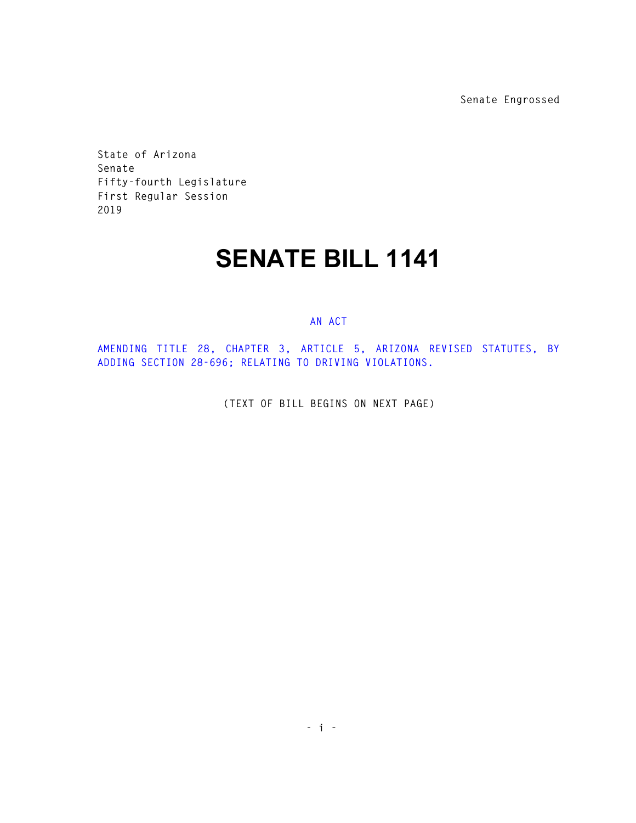**Senate Engrossed** 

**State of Arizona Senate Fifty-fourth Legislature First Regular Session 2019** 

## **SENATE BILL 1141**

## **AN ACT**

**AMENDING TITLE 28, CHAPTER 3, ARTICLE 5, ARIZONA REVISED STATUTES, BY ADDING SECTION 28-696; RELATING TO DRIVING VIOLATIONS.** 

**(TEXT OF BILL BEGINS ON NEXT PAGE)**